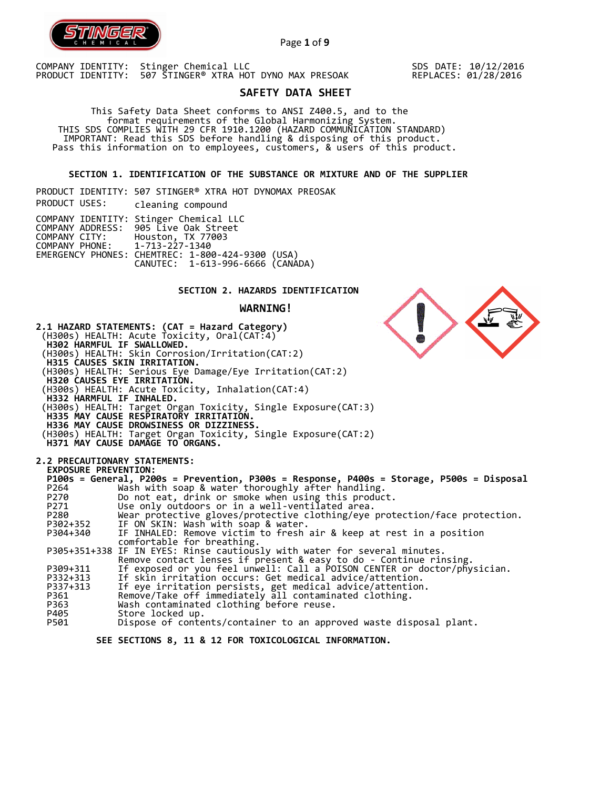

Page **1** of **9**

COMPANY IDENTITY: Stinger Chemical LLC PRODUCT IDENTITY: 507 STINGER® XTRA HOT DYNO MAX PRESOAK SDS DATE: 10/12/2016 REPLACES: 01/28/2016

# **SAFETY DATA SHEET**

 This Safety Data Sheet conforms to ANSI Z400.5, and to the format requirements of the Global Harmonizing System. THIS SDS COMPLIES WITH 29 CFR 1910.1200 (HAZARD COMMUNICATION STANDARD) IMPORTANT: Read this SDS before handling & disposing of this product. Pass this information on to employees, customers, & users of this product.

**SECTION 1. IDENTIFICATION OF THE SUBSTANCE OR MIXTURE AND OF THE SUPPLIER** 

PRODUCT IDENTITY: 507 STINGER® XTRA HOT DYNOMAX PREOSAK PRODUCT USES: cleaning compound COMPANY IDENTITY: Stinger Chemical LLC COMPANY ADDRESS: 905 Live Oak Street COMPANY CITY: Houston, TX 77003 COMPANY PHONE: 1-713-227-1340 EMERGENCY PHONES: CHEMTREC: 1-800-424-9300 (USA) CANUTEC: 1-613-996-6666 (CANADA)

# **SECTION 2. HAZARDS IDENTIFICATION**

**WARNING!**

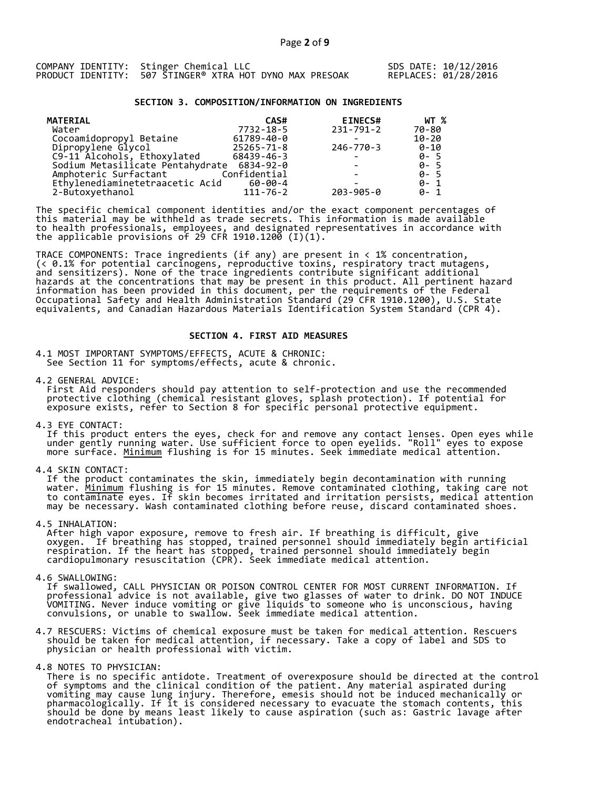|  | COMPANY IDENTITY: Stinger Chemical LLC                   |  |
|--|----------------------------------------------------------|--|
|  | PRODUCT IDENTITY: 507 STINGER® XTRA HOT DYNO MAX PRESOAK |  |

## **SECTION 3. COMPOSITION/INFORMATION ON INGREDIENTS**

| <b>MATERIAL</b>                  | CAS#           | <b>EINECS#</b>  | WT %      |
|----------------------------------|----------------|-----------------|-----------|
| Water                            | 7732-18-5      | 231-791-2       | 70-80     |
| Cocoamidopropyl Betaine          | 61789-40-0     |                 | $10 - 20$ |
| Dipropylene Glycol               | 25265-71-8     | 246-770-3       | 0-10      |
| C9-11 Alcohols, Ethoxylated      | 68439-46-3     |                 | $0 - 5$   |
| Sodium Metasilicate Pentahydrate | 6834-92-0      |                 | $0 - 5$   |
| Amphoteric Surfactant            | Confidential   |                 | $0 - 5$   |
| Ethylenediaminetetraacetic Acid  | 60-00-4        |                 | $0 - 1$   |
| 2-Butoxyethanol                  | $111 - 76 - 2$ | $203 - 905 - 0$ | $0 - 1$   |

The specific chemical component identities and/or the exact component percentages of this material may be withheld as trade secrets. This information is made available to health professionals, employees, and designated representatives in accordance with the applicable provisions of 29 CFR 1910.1200̄ (I)(1).  $\overline{\phantom{a}}$ 

TRACE COMPONENTS: Trace ingredients (if any) are present in < 1% concentration, (< 0.1% for potential carcinogens, reproductive toxins, respiratory tract mutagens, and sensitizers). None of the trace ingredients contribute significant additional hazards at the concentrations that may be present in this product. All pertinent hazard information has been provided in this document, per the requirements of the Federal Occupational Safety and Health Administration Standard (29 CFR 1910.1200), U.S. State equivalents, and Canadian Hazardous Materials Identification System Standard (CPR 4).

## **SECTION 4. FIRST AID MEASURES**

4.1 MOST IMPORTANT SYMPTOMS/EFFECTS, ACUTE & CHRONIC: See Section 11 for symptoms/effects, acute & chronic.

4.2 GENERAL ADVICE: First Aid responders should pay attention to self-protection and use the recommended protective clothing (chemical resistant gloves, splash protection). If potential for exposure exists, refer to Section 8 for specific personal protective equipment.

4.3 EYE CONTACT:

 If this product enters the eyes, check for and remove any contact lenses. Open eyes while under gently running water. Use sufficient force to open eyelids. "Roll" eyes to expose more surface. <u>Minimum</u> flushing is for 15 minutes. Seek immediate medical attention.

4.4 SKIN CONTACT:

 If the product contaminates the skin, immediately begin decontamination with running water. <u>Minimum</u> flushing is for 15 minutes. Remove contaminated clothing, taking care not to contaminate eyes. If skin becomes irritated and irritation persists, medical attention may be necessary. Wash contaminated clothing before reuse, discard contaminated shoes.

4.5 INHALATION:

 After high vapor exposure, remove to fresh air. If breathing is difficult, give oxygen. If breathing has stopped, trained personnel should immediately begin artificial respiration. If the heart has stopped, trained personnel should immediately begin cardiopulmonary resuscitation (CPR). Seek immediate medical attention.

4.6 SWALLOWING:

 If swallowed, CALL PHYSICIAN OR POISON CONTROL CENTER FOR MOST CURRENT INFORMATION. If professional advice is not available, give two glasses of water to drink. DO NOT INDUCE VOMITING. Never induce vomiting or give liquids to someone who is unconscious, having convulsions, or unable to swallow. Seek immediate medical attention.

4.7 RESCUERS: Victims of chemical exposure must be taken for medical attention. Rescuers should be taken for medical attention, if necessary. Take a copy of label and SDS to physician or health professional with victim.

4.8 NOTES TO PHYSICIAN:

 There is no specific antidote. Treatment of overexposure should be directed at the control of symptoms and the clinical condition of the patient. Any material aspirated during vomiting may cause lung injury. Therefore, emesis should not be induced mechanically or pharmacologically. If it is considered necessary to evacuate the stomach contents, this should be done by means least likely to cause aspiration (such as: Gastric lavage after endotracheal intubation).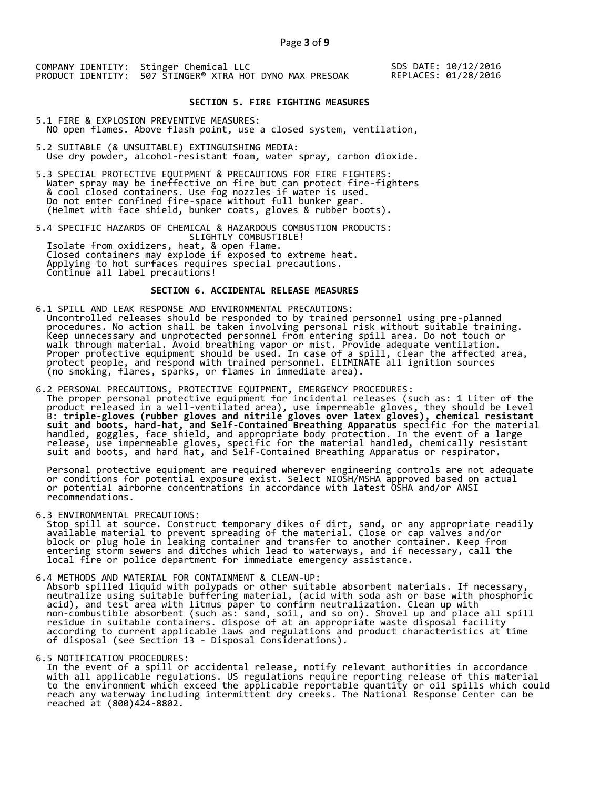SDS DATE: 10/12/2016 REPLACES: 01/28/2016

# **SECTION 5. FIRE FIGHTING MEASURES**

5.1 FIRE & EXPLOSION PREVENTIVE MEASURES: NO open flames. Above flash point, use a closed system, ventilation,

- 5.2 SUITABLE (& UNSUITABLE) EXTINGUISHING MEDIA: Use dry powder, alcohol-resistant foam, water spray, carbon dioxide.
- 5.3 SPECIAL PROTECTIVE EQUIPMENT & PRECAUTIONS FOR FIRE FIGHTERS: Water spray may be ineffective on fire but can protect fire-fighters & cool closed containers. Use fog nozzles if water is used. Do not enter confined fire-space without full bunker gear. (Helmet with face shield, bunker coats, gloves & rubber boots).

5.4 SPECIFIC HAZARDS OF CHEMICAL & HAZARDOUS COMBUSTION PRODUCTS: SLIGHTLY COMBUSTIBLE! Isolate from oxidizers, heat, & open flame. Closed containers may explode if exposed to extreme heat. Applying to hot surfaces requires special precautions. Continue all label precautions!

# **SECTION 6. ACCIDENTAL RELEASE MEASURES**

- 6.1 SPILL AND LEAK RESPONSE AND ENVIRONMENTAL PRECAUTIONS: Uncontrolled releases should be responded to by trained personnel using pre-planned procedures. No action shall be taken involving personal risk without suitable training. Keep unnecessary and unprotected personnel from entering spill area. Do not touch or walk through material. Avoid breathing vapor or mist. Provide adequate ventilation. Proper protective equipment should be used. In case of a spill, clear the affected area, protect people, and respond with trained personnel. ELIMINATE all ignition sources (no smoking, flares, sparks, or flames in immediate area).
- 6.2 PERSONAL PRECAUTIONS, PROTECTIVE EQUIPMENT, EMERGENCY PROCEDURES: The proper personal protective equipment for incidental releases (such as: 1 Liter of the product released in a well-ventilated area), use impermeable gloves, they should be Level B: **triple-gloves (rubber gloves and nitrile gloves over latex gloves), chemical resistant suit and boots, hard-hat, and Self-Contained Breathing Apparatus** specific for the material handled, goggles, face shield, and appropriate body protection. In the event of a large release, use impermeable gloves, specific for the material handled, chemically resistant suit and boots, and hard hat, and Self-Contained Breathing Apparatus or respirator.

 Personal protective equipment are required wherever engineering controls are not adequate or conditions for potential exposure exist. Select NIOSH/MSHA approved based on actual or potential airborne concentrations in accordance with latest OSHA and/or ANSI recommendations.

6.3 ENVIRONMENTAL PRECAUTIONS:

 Stop spill at source. Construct temporary dikes of dirt, sand, or any appropriate readily available material to prevent spreading of the material. Close or cap valves and/or block or plug hole in leaking container and transfer to another container. Keep from entering storm sewers and ditches which lead to waterways, and if necessary, call the local fire or police department for immediate emergency assistance.

6.4 METHODS AND MATERIAL FOR CONTAINMENT & CLEAN-UP: Absorb spilled liquid with polypads or other suitable absorbent materials. If necessary, neutralize using suitable buffering material, (acid with soda ash or base with phosphoric acid), and test area with litmus paper to confirm neutralization. Clean up with non-combustible absorbent (such as: sand, soil, and so on). Shovel up and place all spill residue in suitable containers. dispose of at an appropriate waste disposal facility according to current applicable laws and regulations and product characteristics at time of disposal (see Section 13 - Disposal Considerations).

6.5 NOTIFICATION PROCEDURES:

 In the event of a spill or accidental release, notify relevant authorities in accordance with all applicable regulations. US regulations require reporting release of this material to the environment which exceed the applicable reportable quantity or oil spills which could reach any waterway including intermittent dry creeks. The National Response Center can be reached at (800)424-8802.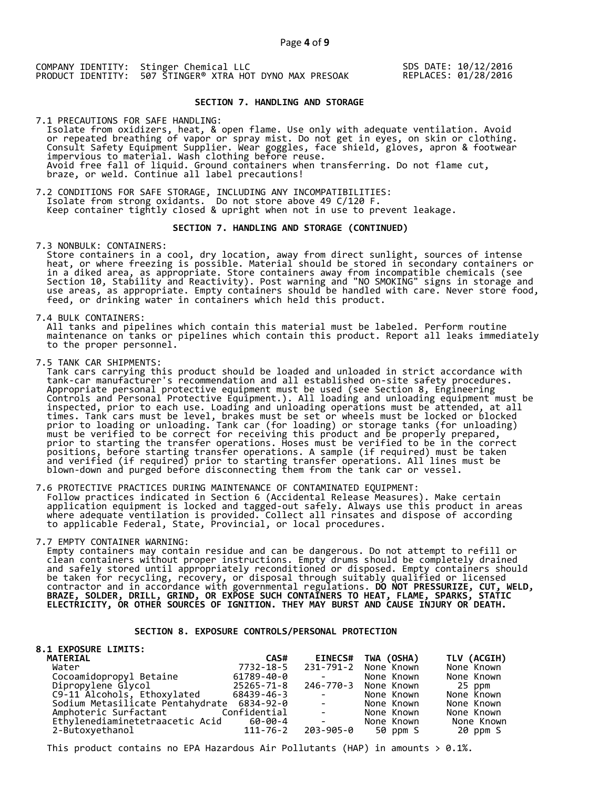SDS DATE: 10/12/2016 REPLACES: 01/28/2016

# **SECTION 7. HANDLING AND STORAGE**

7.1 PRECAUTIONS FOR SAFE HANDLING: Isolate from oxidizers, heat, & open flame. Use only with adequate ventilation. Avoid or repeated breathing of vapor or spray mist. Do not get in eyes, on skin or clothing. Consult Safety Equipment Supplier. Wear goggles, face shield, gloves, apron & footwear impervious to material. Wash clothing before reuse. Avoid free fall of liquid. Ground containers when transferring. Do not flame cut, braze, or weld. Continue all label precautions!

7.2 CONDITIONS FOR SAFE STORAGE, INCLUDING ANY INCOMPATIBILITIES:<br>Isolate from strong oxidants. Do not store above 49 C/120 F. Isolate from strong oxidants. Do not store above 49 C/120 F. Keep container tightly closed & upright when not in use to prevent leakage.

## **SECTION 7. HANDLING AND STORAGE (CONTINUED)**

7.3 NONBULK: CONTAINERS:

 Store containers in a cool, dry location, away from direct sunlight, sources of intense heat, or where freezing is possible. Material should be stored in secondary containers or in a diked area, as appropriate. Store containers away from incompatible chemicals (see Section 10, Stability and Reactivity). Post warning and "NO SMOKING" signs in storage and use areas, as appropriate. Empty containers should be handled with care. Never store food, feed, or drinking water in containers which held this product.

7.4 BULK CONTAINERS:

 All tanks and pipelines which contain this material must be labeled. Perform routine maintenance on tanks or pipelines which contain this product. Report all leaks immediately to the proper personnel.

7.5 TANK CAR SHIPMENTS:

 Tank cars carrying this product should be loaded and unloaded in strict accordance with tank-car manufacturer's recommendation and all established on-site safety procedures. Appropriate personal protective equipment must be used (see Section 8, Engineering Controls and Personal Protective Equipment.). All loading and unloading equipment must be inspected, prior to each use. Loading and unloading operations must be attended, at all times. Tank cars must be level, brakes must be set or wheels must be locked or blocked prior to loading or unloading. Tank car (for loading) or storage tanks (for unloading) must be verified to be correct for receiving this product and be properly prepared, prior to starting the transfer operations. Hoses must be verified to be in the correct positions, before starting transfer operations. A sample (if required) must be taken and verified (if required) prior to starting transfer operations. All lines must be blown-down and purged before disconnecting them from the tank car or vessel.

7.6 PROTECTIVE PRACTICES DURING MAINTENANCE OF CONTAMINATED EQUIPMENT: Follow practices indicated in Section 6 (Accidental Release Measures). Make certain application equipment is locked and tagged-out safely. Always use this product in areas where adequate ventilation is provided. Collect all rinsates and dispose of according to applicable Federal, State, Provincial, or local procedures.

7.7 EMPTY CONTAINER WARNING:

 Empty containers may contain residue and can be dangerous. Do not attempt to refill or clean containers without proper instructions. Empty drums should be completely drained and safely stored until appropriately reconditioned or disposed. Empty containers should be taken for recycling, recovery, or disposal through suitably qualified or licensed contractor and in accordance with governmental regulations. **DO NOT PRESSURIZE, CUT, WELD, BRAZE, SOLDER, DRILL, GRIND, OR EXPOSE SUCH CONTAINERS TO HEAT, FLAME, SPARKS, STATIC ELECTRICITY, OR OTHER SOURCES OF IGNITION. THEY MAY BURST AND CAUSE INJURY OR DEATH.**

# **SECTION 8. EXPOSURE CONTROLS/PERSONAL PROTECTION**

| <b>8.1 EXPOSURE LIMITS:</b>                |            |                                                                                            |                      |             |
|--------------------------------------------|------------|--------------------------------------------------------------------------------------------|----------------------|-------------|
| <b>MATERIAL</b>                            | CAS#       | <b>EINECS#</b>                                                                             | TWA (OSHA)           | TLV (ACGIH) |
| Water                                      | 7732-18-5  |                                                                                            | 231-791-2 None Known | None Known  |
| Cocoamidopropyl Betaine                    | 61789-40-0 | <b>Contract Contract</b>                                                                   | None Known           | None Known  |
| Dipropylene Glycol                         | 25265-71-8 |                                                                                            | 246-770-3 None Known | 25 ppm      |
| C9-11 Alcohols, Ethoxylated                | 68439-46-3 | $\mathcal{L} = \mathcal{L} \times \mathcal{L} = \mathcal{L} \times \mathcal{L}$            | None Known           | None Known  |
| Sodium Metasilicate Pentahydrate 6834-92-0 |            | <b>State State</b>                                                                         | None Known           | None Known  |
| Amphoteric Surfactant Confidential         |            | $\mathcal{L}(\mathcal{L})$ and $\mathcal{L}(\mathcal{L})$ . The $\mathcal{L}(\mathcal{L})$ | None Known           | None Known  |
| Ethylenediaminetetraacetic Acid 60-00-4    |            | <b>Contract Contract Contract</b>                                                          | None Known           | None Known  |
| 2-Butoxyethanol                            | 111-76-2   | 203-905-0                                                                                  | 50 ppm S             | 20 ppm S    |

This product contains no EPA Hazardous Air Pollutants (HAP) in amounts  $> 0.1\%$ .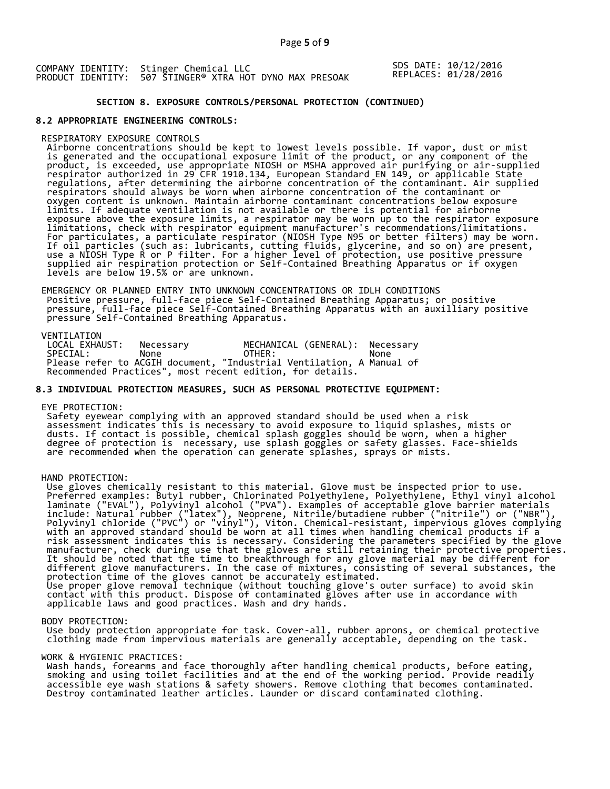SDS DATE: 10/12/2016 REPLACES: 01/28/2016

# **SECTION 8. EXPOSURE CONTROLS/PERSONAL PROTECTION (CONTINUED)**

# **8.2 APPROPRIATE ENGINEERING CONTROLS:**

## RESPIRATORY EXPOSURE CONTROLS

 Airborne concentrations should be kept to lowest levels possible. If vapor, dust or mist is generated and the occupational exposure limit of the product, or any component of the product, is exceeded, use appropriate NIOSH or MSHA approved air purifying or air-supplied respirator authorized in 29 CFR 1910.134, European Standard EN 149, or applicable State regulations, after determining the airborne concentration of the contaminant. Air supplied respirators should always be worn when airborne concentration of the contaminant or oxygen content is unknown. Maintain airborne contaminant concentrations below exposure limits. If adequate ventilation is not available or there is potential for airborne exposure above the exposure limits, a respirator may be worn up to the respirator exposure limitations, check with respirator equipment manufacturer's recommendations/limitations. For particulates, a particulate respirator (NIOSH Type N95 or better filters) may be worn. If oil particles (such as: lubricants, cutting fluids, glycerine, and so on) are present, use a NIOSH Type R or P filter. For a higher level of protection, use positive pressure supplied air respiration protection or Self-Contained Breathing Apparatus or if oxygen levels are below 19.5% or are unknown.

 EMERGENCY OR PLANNED ENTRY INTO UNKNOWN CONCENTRATIONS OR IDLH CONDITIONS Positive pressure, full-face piece Self-Contained Breathing Apparatus; or positive pressure, full-face piece Self-Contained Breathing Apparatus with an auxilliary positive pressure Self-Contained Breathing Apparatus.

VENTILATION<br>LOCAL EXHAUST: LOCAL EXHAUST: Necessary MECHANICAL (GENERAL): Necessary SPECIAL: None OTHER: None Please refer to ACGIH document, "Industrial Ventilation, A Manual of Recommended Practices", most recent edition, for details.

# **8.3 INDIVIDUAL PROTECTION MEASURES, SUCH AS PERSONAL PROTECTIVE EQUIPMENT:**

## EYE PROTECTION:

 Safety eyewear complying with an approved standard should be used when a risk assessment indicates this is necessary to avoid exposure to liquid splashes, mists or dusts. If contact is possible, chemical splash goggles should be worn, when a higher degree of protection is necessary, use splash goggles or safety glasses. Face-shields are recommended when the operation can generate splashes, sprays or mists.

#### HAND PROTECTION:

 Use gloves chemically resistant to this material. Glove must be inspected prior to use. Preferred examples: Butyl rubber, Chlorinated Polyethylene, Polyethylene, Ethyl vinyl alcohol laminate ("EVAL"), Polyvinyl alcohol ("PVA"). Examples of acceptable glove barrier materials include: Natural rubber ("latex"), Neoprene, Nitrile/butadiene rubber ("nitrile") or ("NBR"), Polyvinyl chloride ("PVC") or "vinyl"), Viton. Chemical-resistant, impervious gloves complying with an approved standard should be worn at all times when handling chemical products if a risk assessment indicates this is necessary. Considering the parameters specified by the glove manufacturer, check during use that the gloves are still retaining their protective properties. It should be noted that the time to breakthrough for any glove material may be different for different glove manufacturers. In the case of mixtures, consisting of several substances, the protection time of the gloves cannot be accurately estimated. Use proper glove removal technique (without touching glove's outer surface) to avoid skin contact with this product. Dispose of contaminated gloves after use in accordance with applicable laws and good practices. Wash and dry hands.

#### BODY PROTECTION:

 Use body protection appropriate for task. Cover-all, rubber aprons, or chemical protective clothing made from impervious materials are generally acceptable, depending on the task.

## WORK & HYGIENIC PRACTICES:

 Wash hands, forearms and face thoroughly after handling chemical products, before eating, smoking and using toilet facilities and at the end of the working period. Provide readily accessible eye wash stations & safety showers. Remove clothing that becomes contaminated. Destroy contaminated leather articles. Launder or discard contaminated clothing.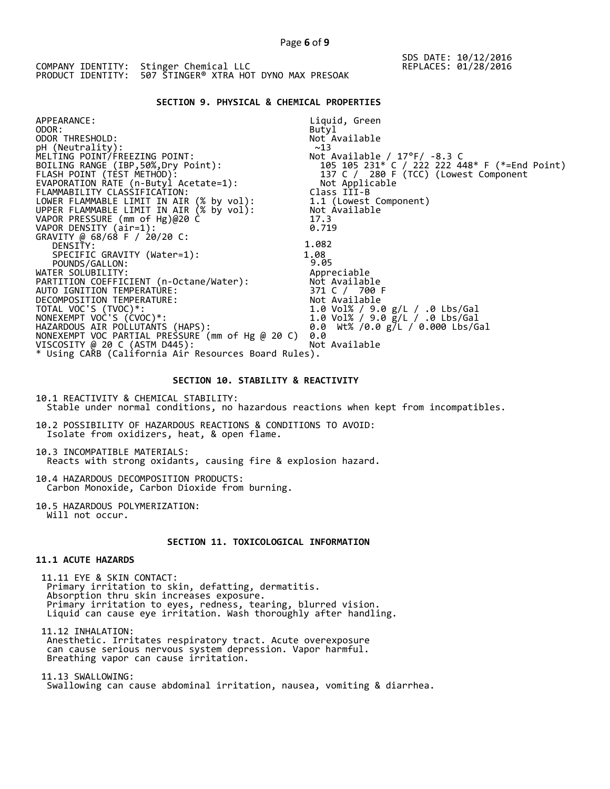# **SECTION 9. PHYSICAL & CHEMICAL PROPERTIES**

| APPEARANCE:                                          | Liquid, Green                                 |
|------------------------------------------------------|-----------------------------------------------|
| ODOR:                                                | Butyl                                         |
| ODOR THRESHOLD:                                      | Not Available                                 |
| pH (Neutrality):                                     | ~13                                           |
| MELTING POINT/FREEZING POINT:                        | Not Available / $17^{\circ}$ F/ -8.3 C        |
| BOILING RANGE (IBP, 50%, Dry Point):                 | 105 105 231* C / 222 222 448* F (*=End Point) |
| FLASH POINT (TÈST METHOD):                           | 137 C / 280 F (TCC) (Lowest Component         |
| EVAPORATION RATE (n-Butyl Acetate=1):                | Not Applicable                                |
| FLAMMABILITY CLASSIFICATION:                         | Class III-B                                   |
| LOWER FLAMMABLE LIMIT IN AIR (% by vol):             | 1.1 (Lowest Component)                        |
| UPPER FLAMMABLE LIMIT IN AIR (% by vol):             | Not Available                                 |
| VAPOR PRESSURE (mm of Hg)@20 C                       | 17.3                                          |
| VAPOR DENSITY (air=1):                               | 0.719                                         |
| GRAVITY @ 68/68 F / 20/20 C:                         |                                               |
| DENSITY:                                             | 1.082                                         |
| SPECIFIC GRAVITY (Water=1):                          | 1.08                                          |
| POUNDS/GALLON:                                       | 9.05                                          |
| WATER SOLUBILITY:                                    | Appreciable                                   |
| PARTITION COEFFICIENT (n-Octane/Water):              | Not Available                                 |
| AUTO IGNITION TEMPERATURE:                           | 371 C / 700 F                                 |
| DECOMPOSITION TEMPERATURE:                           | Not Available                                 |
| TOTAL VOC'S (TVOC)*:                                 | 1.0 Vol% / 9.0 g/L / .0 Lbs/Gal               |
| NONEXEMPT VOC'S (CVOC)*:                             | 1.0 Vol% / 9.0 g/L / .0 Lbs/Gal               |
| HAZARDOUS AIR POLLUTANTS (HAPS):                     | 0.0 Wt% /0.0 g/L / 0.000 Lbs/Gal              |
| NONEXEMPT VOC PARTIAL PRESSURE (mm of Hg @ 20 C)     | 0.0                                           |
| VISCOSITY @ 20 C (ASTM D445):                        | Not Available                                 |
| * Using CARB (California Air Resources Board Rules). |                                               |

# **SECTION 10. STABILITY & REACTIVITY**

10.1 REACTIVITY & CHEMICAL STABILITY: Stable under normal conditions, no hazardous reactions when kept from incompatibles.

10.2 POSSIBILITY OF HAZARDOUS REACTIONS & CONDITIONS TO AVOID: Isolate from oxidizers, heat, & open flame.

10.3 INCOMPATIBLE MATERIALS: Reacts with strong oxidants, causing fire & explosion hazard.

10.4 HAZARDOUS DECOMPOSITION PRODUCTS: Carbon Monoxide, Carbon Dioxide from burning.

10.5 HAZARDOUS POLYMERIZATION: Will not occur.

# **SECTION 11. TOXICOLOGICAL INFORMATION**

# **11.1 ACUTE HAZARDS**

 11.11 EYE & SKIN CONTACT: Primary irritation to skin, defatting, dermatitis. Absorption thru skin increases exposure. Primary irritation to eyes, redness, tearing, blurred vision. Liquid can cause eye irritation. Wash thoroughly after handling.

 11.12 INHALATION: Anesthetic. Irritates respiratory tract. Acute overexposure can cause serious nervous system depression. Vapor harmful. Breathing vapor can cause irritation.

 11.13 SWALLOWING: Swallowing can cause abdominal irritation, nausea, vomiting & diarrhea.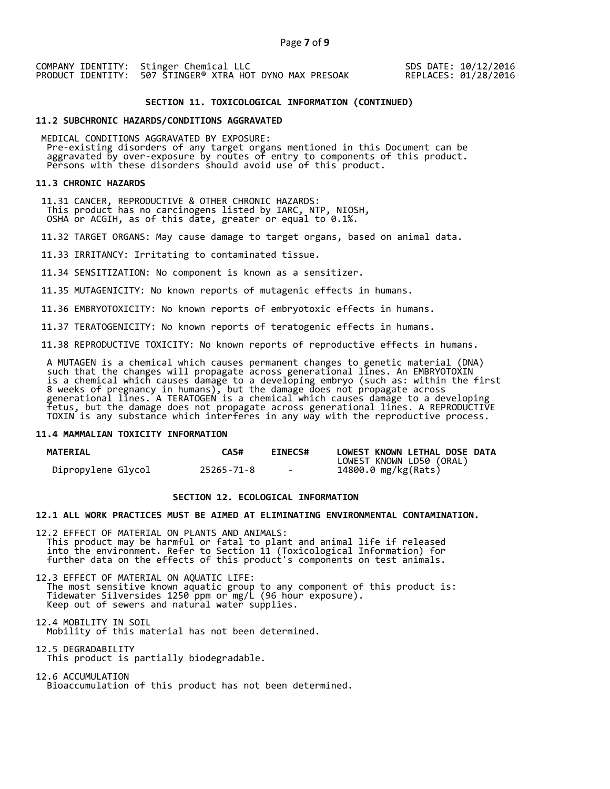SDS DATE: 10/12/2016 REPLACES: 01/28/2016

# **SECTION 11. TOXICOLOGICAL INFORMATION (CONTINUED)**

## **11.2 SUBCHRONIC HAZARDS/CONDITIONS AGGRAVATED**

 MEDICAL CONDITIONS AGGRAVATED BY EXPOSURE: Pre-existing disorders of any target organs mentioned in this Document can be aggravated by over-exposure by routes of entry to components of this product. aggravaced by over exposare by roaces of enery to components of persons with these disorders should avoid use of this product.

## **11.3 CHRONIC HAZARDS**

 11.31 CANCER, REPRODUCTIVE & OTHER CHRONIC HAZARDS: This product has no carcinogens listed by IARC, NTP, NIOSH, OSHA or ACGIH, as of this date, greater or equal to 0.1%.

11.32 TARGET ORGANS: May cause damage to target organs, based on animal data.

11.33 IRRITANCY: Irritating to contaminated tissue.

11.34 SENSITIZATION: No component is known as a sensitizer.

11.35 MUTAGENICITY: No known reports of mutagenic effects in humans.

11.36 EMBRYOTOXICITY: No known reports of embryotoxic effects in humans.

11.37 TERATOGENICITY: No known reports of teratogenic effects in humans.

11.38 REPRODUCTIVE TOXICITY: No known reports of reproductive effects in humans.

 A MUTAGEN is a chemical which causes permanent changes to genetic material (DNA) such that the changes will propagate across generational lines. An EMBRYOTOXIN is a chemical which causes damage to a developing embryo (such as: within the first 8 weeks of pregnancy in humans), but the damage does not propagate across generational lines. A TERATOGEN is a chemical which causes damage to a developing fetus, but the damage does not propagate across generational lines. A REPRODUCTIVE TOXIN is any substance which interferes in any way with the reproductive process.

## **11.4 MAMMALIAN TOXICITY INFORMATION**

| <b>MATERIAL</b>    | CAS#       | <b>EINECS#</b> | LOWEST KNOWN LETHAL DOSE DATA |
|--------------------|------------|----------------|-------------------------------|
|                    |            |                | LOWEST KNOWN LD50 (ORAL)      |
| Dipropylene Glycol | 25265-71-8 | $\sim$         | 14800.0 mg/kg(Rats)           |

# **SECTION 12. ECOLOGICAL INFORMATION**

## **12.1 ALL WORK PRACTICES MUST BE AIMED AT ELIMINATING ENVIRONMENTAL CONTAMINATION.**

12.2 EFFECT OF MATERIAL ON PLANTS AND ANIMALS: This product may be harmful or fatal to plant and animal life if released into the environment. Refer to Section 11 (Toxicological Information) for further data on the effects of this product's components on test animals.

12.3 EFFECT OF MATERIAL ON AQUATIC LIFE: The most sensitive known aquatic group to any component of this product is: Tidewater Silversides 1250 ppm or mg/L (96 hour exposure). Keep out of sewers and natural water supplies.

12.4 MOBILITY IN SOIL Mobility of this material has not been determined.

12.5 DEGRADABILITY This product is partially biodegradable.

12.6 ACCUMULATION Bioaccumulation of this product has not been determined.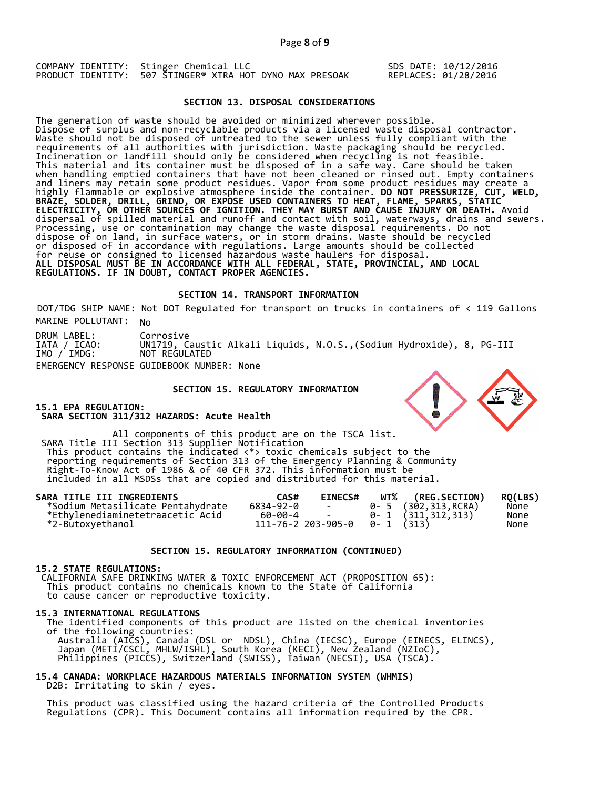COMPANY IDENTITY: Stinger Chemical LLC PRODUCT IDENTITY: 507 STINGER® XTRA HOT DYNO MAX PRESOAK SDS DATE: 10/12/2016 REPLACES: 01/28/2016

# **SECTION 13. DISPOSAL CONSIDERATIONS**

The generation of waste should be avoided or minimized wherever possible. Dispose of surplus and non-recyclable products via a licensed waste disposal contractor. Waste should not be disposed of untreated to the sewer unless fully compliant with the requirements of all authorities with jurisdiction. Waste packaging should be recycled. Incineration or landfill should only be considered when recycling is not feasible. This material and its container must be disposed of in a safe way. Care should be taken when handling emptied containers that have not been cleaned or rinsed out. Empty containers and liners may retain some product residues. Vapor from some product residues may create a highly flammable or explosive atmosphere inside the container. **DO NOT PRESSURIZE, CUT, WELD, BRAZE, SOLDER, DRILL, GRIND, OR EXPOSE USED CONTAINERS TO HEAT, FLAME, SPARKS, STATIC ELECTRICITY, OR OTHER SOURCES OF IGNITION. THEY MAY BURST AND CAUSE INJURY OR DEATH.** Avoid dispersal of spilled material and runoff and contact with soil, waterways, drains and sewers. Processing, use or contamination may change the waste disposal requirements. Do not dispose of on land, in surface waters, or in storm drains. Waste should be recycled or disposed of in accordance with regulations. Large amounts should be collected for reuse or consigned to licensed hazardous waste haulers for disposal. **ALL DISPOSAL MUST BE IN ACCORDANCE WITH ALL FEDERAL, STATE, PROVINCIAL, AND LOCAL REGULATIONS. IF IN DOUBT, CONTACT PROPER AGENCIES.** 

## **SECTION 14. TRANSPORT INFORMATION**

MARINE POLLUTANT: No DOT/TDG SHIP NAME: Not DOT Regulated for transport on trucks in containers of < 119 Gallons

DRUM LABEL: IATA / ICAO: IMO / IMDG: Corrosive UN1719, Caustic Alkali Liquids, N.O.S.,(Sodium Hydroxide), 8, PG-III NOT REGULATED EMERGENCY RESPONSE GUIDEBOOK NUMBER: None

## **SECTION 15. REGULATORY INFORMATION**

**15.1 EPA REGULATION: SARA SECTION 311/312 HAZARDS: Acute Health** 

All components of this product are on the TSCA list. SARA Title III Section 313 Supplier Notification This product contains the indicated <\*> toxic chemicals subject to the reporting requirements of Section 313 of the Emergency Planning & Community Right-To-Know Act of 1986 & of 40 CFR 372. This information must be included in all MSDSs that are copied and distributed for this material.

| SARA TITLE III INGREDIENTS        | CAS#      | <b>EINECS#</b>                        | WT% (REG.SECTION)                                           | <b>RO(LBS)</b> |
|-----------------------------------|-----------|---------------------------------------|-------------------------------------------------------------|----------------|
| *Sodium Metasilicate Pentahydrate | 6834-92-0 | <b>Contract Contract</b>              | 0- 5 (302,313,RCRA)                                         | None           |
| *Ethylenediaminetetraacetic Acid  | 60-00-4 - |                                       | $\begin{bmatrix} 0 \\ 1 \\ 0 \end{bmatrix}$ (311, 312, 313) | None           |
| *2-Butoxyethanol                  |           | $111 - 76 - 2203 - 905 - 0$ 0-1 (313) |                                                             | None           |

## **SECTION 15. REGULATORY INFORMATION (CONTINUED)**

## **15.2 STATE REGULATIONS:**

 CALIFORNIA SAFE DRINKING WATER & TOXIC ENFORCEMENT ACT (PROPOSITION 65): This product contains no chemicals known to the State of California to cause cancer or reproductive toxicity.

#### **15.3 INTERNATIONAL REGULATIONS**

 The identified components of this product are listed on the chemical inventories of the following countries: Australia (AICS), Canada (DSL or NDSL), China (IECSC), Europe (EINECS, ELINCS), Japan (METI/CSCL, MHLW/ISHL), South Korea (KECI), New Zealand (NZIoC), Philippines (PICCS), Switzerland (SWISS), Taiwan (NECSI), USA (TSCA).

# **15.4 CANADA: WORKPLACE HAZARDOUS MATERIALS INFORMATION SYSTEM (WHMIS)**  D2B: Irritating to skin / eyes.

 This product was classified using the hazard criteria of the Controlled Products Regulations (CPR). This Document contains all information required by the CPR.